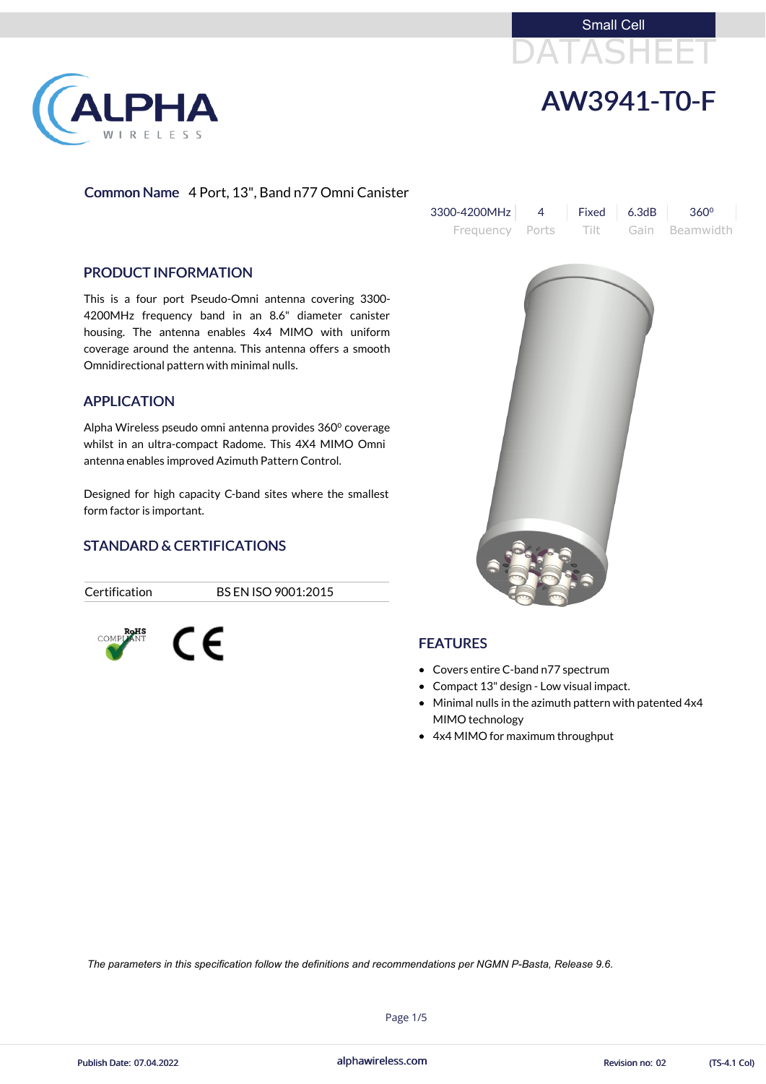



# Common Name 4 Port, 13", Band n77 Omni Canister

| $3300 - 4200 MHz$ 4 Fixed 6.3dB 360 <sup>o</sup> |  |                                     |
|--------------------------------------------------|--|-------------------------------------|
|                                                  |  | Frequency Ports Tilt Gain Beamwidth |

#### PRODUCT INFORMATION

LPHA

RELESS

This is a four port Pseudo-Omni antenna covering 3300- 4200MHz frequency band in an 8.6" diameter canister housing. The antenna enables 4x4 MIMO with uniform coverage around the antenna. This antenna offers a smooth Omnidirectional pattern with minimal nulls.

Alpha Wireless pseudo omni antenna provides 360<sup>°</sup> coverage whilst in an ultra-compact Radome. This 4X4 MIMO Omni antenna enables improved Azimuth Pattern Control.

#### APPLICATION

Designed for high capacity C-band sites where the smallest form factor is important.

## STANDARD & CERTIFICATIONS

Certification BS EN ISO 9001:2015







## **FEATURES**

- Covers entire C-band n77 spectrum
- Compact 13" design Low visual impact.
- Minimal nulls in the azimuth pattern with patented 4x4 MIMO technology
- 4x4 MIMO for maximum throughput

alphawireless.com

Page 1/5



*The parameters in this specification follow the definitions and recommendations per NGMN P-Basta, Release 9.6.*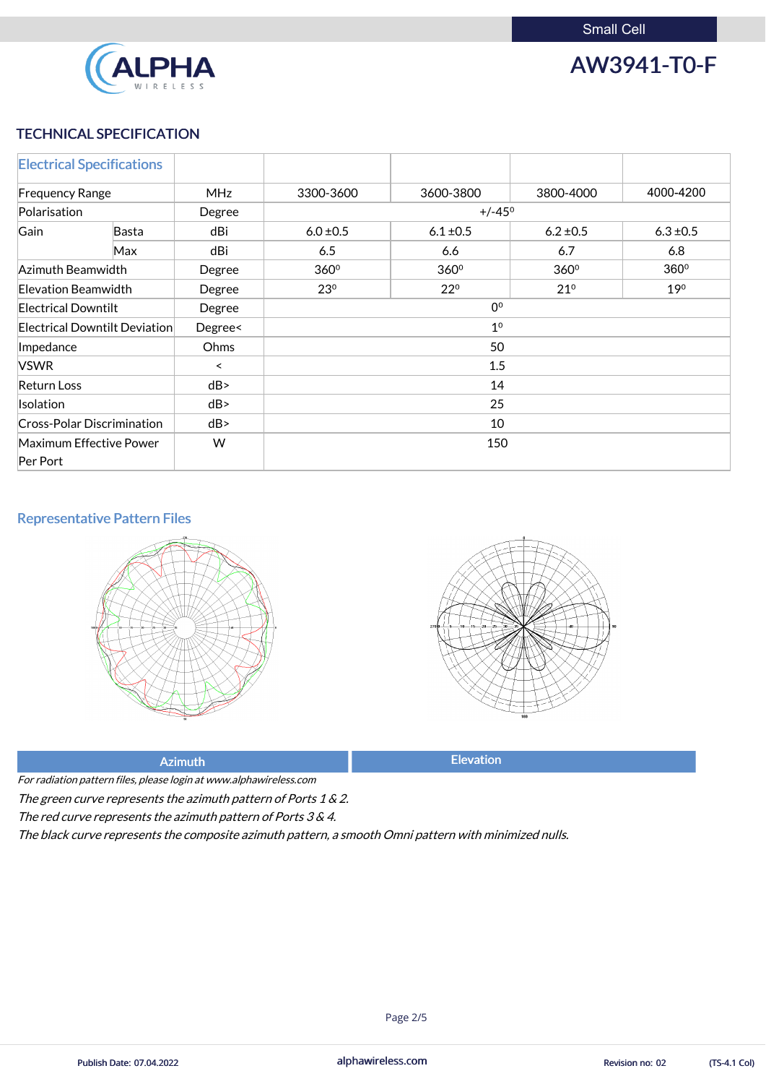

AW3941-T0-F

## TECHNICAL SPECIFICATION

|                            | <b>Electrical Specifications</b>  |            |                                                 |                  |                  |               |
|----------------------------|-----------------------------------|------------|-------------------------------------------------|------------------|------------------|---------------|
| <b>Frequency Range</b>     |                                   | <b>MHz</b> | 3300-3600                                       | 3600-3800        | 3800-4000        | 4000-4200     |
| Polarisation               | $+/-45^{\circ}$<br>Degree         |            |                                                 |                  |                  |               |
| Gain                       | <b>Basta</b>                      | dBi        | $6.0 \pm 0.5$                                   | $6.1 \pm 0.5$    | $6.2 \pm 0.5$    | $6.3 \pm 0.5$ |
|                            | Max                               | dBi        | 6.5                                             | 6.6              | 6.7              | 6.8           |
| Azimuth Beamwidth          |                                   | Degree     | 360°                                            | 360 <sup>°</sup> | 360 <sup>°</sup> | 360°          |
| Elevation Beamwidth        |                                   | Degree     | $21^{\circ}$<br>23 <sup>0</sup><br>$22^{\circ}$ |                  | 19 <sup>0</sup>  |               |
| <b>Electrical Downtilt</b> |                                   | Degree     | 0 <sup>o</sup>                                  |                  |                  |               |
|                            | Electrical Downtilt Deviation     | Degree<    | 1 <sup>0</sup>                                  |                  |                  |               |
| Impedance                  |                                   | Ohms       | 50                                              |                  |                  |               |
| <b>VSWR</b>                |                                   | $\prec$    | 1.5                                             |                  |                  |               |
| <b>Return Loss</b>         |                                   | dB         | 14                                              |                  |                  |               |
| <b>Isolation</b>           |                                   | dB         | 25                                              |                  |                  |               |
|                            | <b>Cross-Polar Discrimination</b> | dB         | 10                                              |                  |                  |               |
|                            | Maximum Effective Power           | W          | 150                                             |                  |                  |               |
| Per Port                   |                                   |            |                                                 |                  |                  |               |

For radiation pattern files, please login at www.alphawireless.com The green curve represents the azimuth pattern of Ports 1 & 2. The red curve represents the azimuth pattern of Ports 3 & 4.



#### Representative Pattern Files



## Azimuth **Elevation**

The black curve represents the composite azimuth pattern, <sup>a</sup> smooth Omni pattern with minimized nulls.

alphawireless.com

Publish Date: 07.04.2022 **Exercise 2** CIS-4.1 Col) alphawireless.com **Exercise 2** Revision no: 02 (TS-4.1 Col)

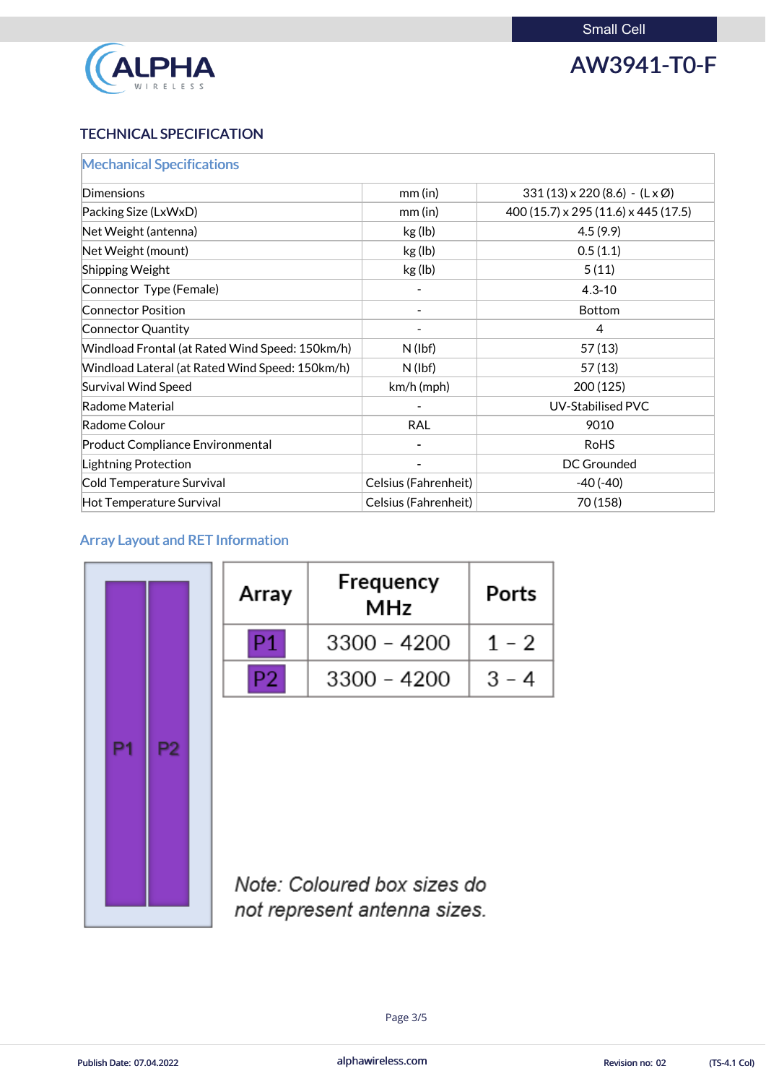

# AW3941-T0-F

## TECHNICAL SPECIFICATION

| <b>Mechanical Specifications</b>                |                             |                                                  |
|-------------------------------------------------|-----------------------------|--------------------------------------------------|
| Dimensions                                      | $mm$ (in)                   | $331(13) \times 220(8.6) - (L \times \emptyset)$ |
| Packing Size (LxWxD)                            | $mm$ (in)                   | 400 (15.7) x 295 (11.6) x 445 (17.5)             |
| Net Weight (antenna)                            | kg (lb)                     | 4.5(9.9)                                         |
| Net Weight (mount)                              | kg (lb)                     | 0.5(1.1)                                         |
| <b>Shipping Weight</b>                          | kg (lb)                     | 5(11)                                            |
| Connector Type (Female)                         |                             | $4.3 - 10$                                       |
| <b>Connector Position</b>                       |                             | <b>Bottom</b>                                    |
| Connector Quantity                              |                             | $\overline{4}$                                   |
| Windload Frontal (at Rated Wind Speed: 150km/h) | $N$ (lbf)                   | 57(13)                                           |
| Windload Lateral (at Rated Wind Speed: 150km/h) | $N$ (lbf)                   | 57(13)                                           |
| <b>Survival Wind Speed</b>                      | $km/h$ (mph)                | 200 (125)                                        |
| Radome Material                                 |                             | <b>UV-Stabilised PVC</b>                         |
| Radome Colour                                   | <b>RAL</b>                  | 9010                                             |
| <b>Product Compliance Environmental</b>         |                             | <b>RoHS</b>                                      |
| Lightning Protection                            |                             | <b>DC Grounded</b>                               |
| Cold Temperature Survival                       | <b>Celsius (Fahrenheit)</b> | $-40(-40)$                                       |
| Hot Temperature Survival                        | Celsius (Fahrenheit)        | 70 (158)                                         |

## Array Layout and RET Information

|    |    | Array          | Frequency<br><b>MHz</b> | <b>Ports</b> |
|----|----|----------------|-------------------------|--------------|
|    |    | P1.            | $3300 - 4200$           | $1 - 2$      |
|    |    | P <sub>2</sub> | $3300 - 4200$           | $3 - 4$      |
| P1 | 22 |                |                         |              |



Note: Coloured box sizes do not represent antenna sizes.

alphawireless.com

Page 3/5

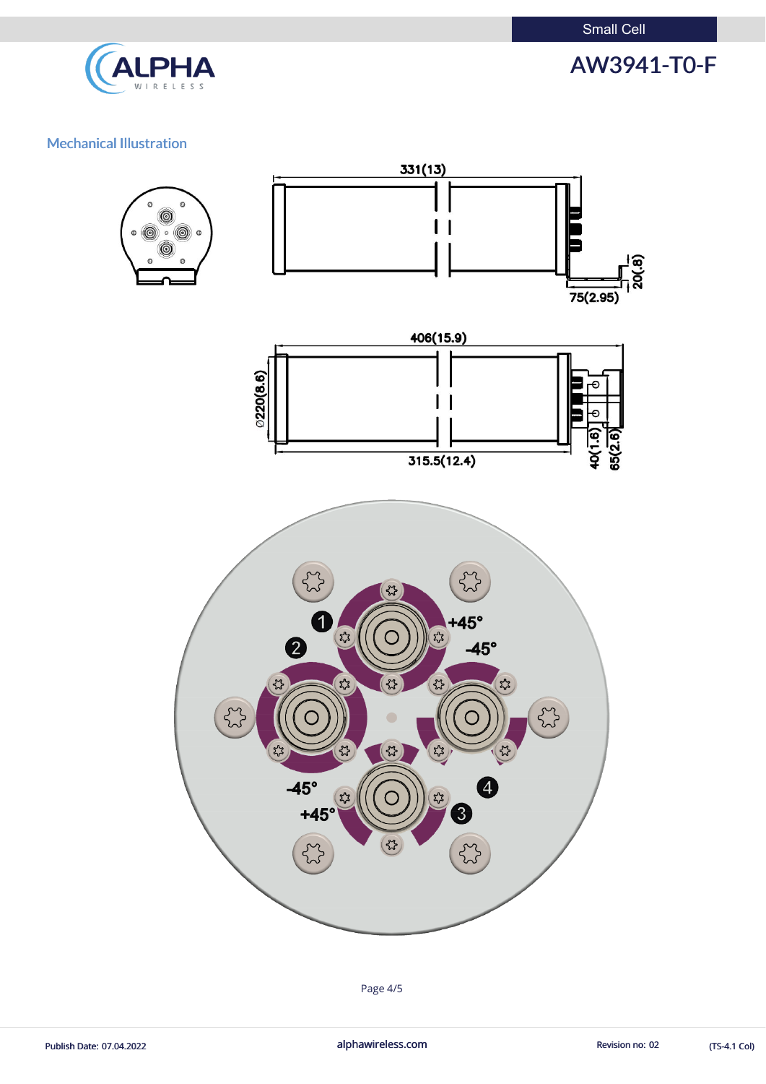

# AW3941-T0-F

### Mechanical Illustration



Page 4/5

Publish Date: 07.04.2022 **alphawireless.com** alphawireless.com Revision no: 02 (TS-4.1 Col)